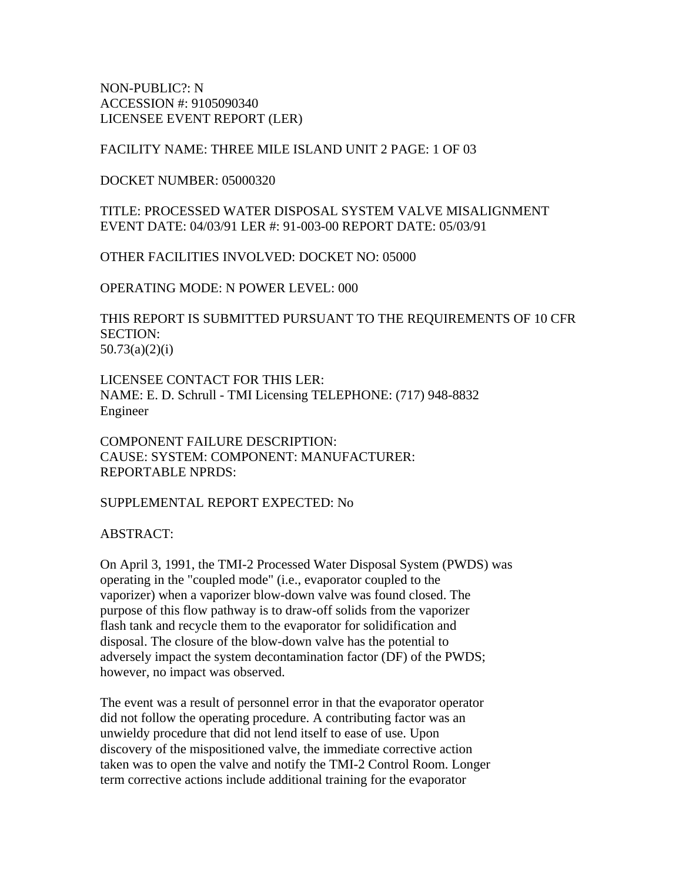NON-PUBLIC?: N ACCESSION #: 9105090340 LICENSEE EVENT REPORT (LER)

#### FACILITY NAME: THREE MILE ISLAND UNIT 2 PAGE: 1 OF 03

DOCKET NUMBER: 05000320

TITLE: PROCESSED WATER DISPOSAL SYSTEM VALVE MISALIGNMENT EVENT DATE: 04/03/91 LER #: 91-003-00 REPORT DATE: 05/03/91

OTHER FACILITIES INVOLVED: DOCKET NO: 05000

OPERATING MODE: N POWER LEVEL: 000

THIS REPORT IS SUBMITTED PURSUANT TO THE REQUIREMENTS OF 10 CFR SECTION: 50.73(a)(2)(i)

LICENSEE CONTACT FOR THIS LER: NAME: E. D. Schrull - TMI Licensing TELEPHONE: (717) 948-8832 Engineer

COMPONENT FAILURE DESCRIPTION: CAUSE: SYSTEM: COMPONENT: MANUFACTURER: REPORTABLE NPRDS:

SUPPLEMENTAL REPORT EXPECTED: No

ABSTRACT:

On April 3, 1991, the TMI-2 Processed Water Disposal System (PWDS) was operating in the "coupled mode" (i.e., evaporator coupled to the vaporizer) when a vaporizer blow-down valve was found closed. The purpose of this flow pathway is to draw-off solids from the vaporizer flash tank and recycle them to the evaporator for solidification and disposal. The closure of the blow-down valve has the potential to adversely impact the system decontamination factor (DF) of the PWDS; however, no impact was observed.

The event was a result of personnel error in that the evaporator operator did not follow the operating procedure. A contributing factor was an unwieldy procedure that did not lend itself to ease of use. Upon discovery of the mispositioned valve, the immediate corrective action taken was to open the valve and notify the TMI-2 Control Room. Longer term corrective actions include additional training for the evaporator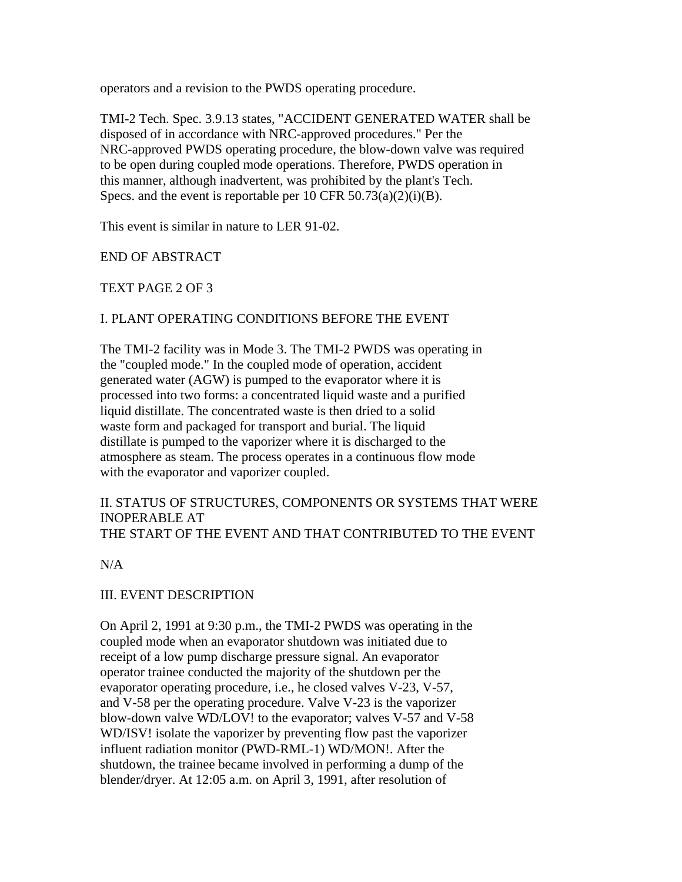operators and a revision to the PWDS operating procedure.

TMI-2 Tech. Spec. 3.9.13 states, "ACCIDENT GENERATED WATER shall be disposed of in accordance with NRC-approved procedures." Per the NRC-approved PWDS operating procedure, the blow-down valve was required to be open during coupled mode operations. Therefore, PWDS operation in this manner, although inadvertent, was prohibited by the plant's Tech. Specs. and the event is reportable per  $10$  CFR  $50.73(a)(2)(i)(B)$ .

This event is similar in nature to LER 91-02.

END OF ABSTRACT

TEXT PAGE 2 OF 3

#### I. PLANT OPERATING CONDITIONS BEFORE THE EVENT

The TMI-2 facility was in Mode 3. The TMI-2 PWDS was operating in the "coupled mode." In the coupled mode of operation, accident generated water (AGW) is pumped to the evaporator where it is processed into two forms: a concentrated liquid waste and a purified liquid distillate. The concentrated waste is then dried to a solid waste form and packaged for transport and burial. The liquid distillate is pumped to the vaporizer where it is discharged to the atmosphere as steam. The process operates in a continuous flow mode with the evaporator and vaporizer coupled.

#### II. STATUS OF STRUCTURES, COMPONENTS OR SYSTEMS THAT WERE INOPERABLE AT THE START OF THE EVENT AND THAT CONTRIBUTED TO THE EVENT

N/A

#### III. EVENT DESCRIPTION

On April 2, 1991 at 9:30 p.m., the TMI-2 PWDS was operating in the coupled mode when an evaporator shutdown was initiated due to receipt of a low pump discharge pressure signal. An evaporator operator trainee conducted the majority of the shutdown per the evaporator operating procedure, i.e., he closed valves V-23, V-57, and V-58 per the operating procedure. Valve V-23 is the vaporizer blow-down valve WD/LOV! to the evaporator; valves V-57 and V-58 WD/ISV! isolate the vaporizer by preventing flow past the vaporizer influent radiation monitor (PWD-RML-1) WD/MON!. After the shutdown, the trainee became involved in performing a dump of the blender/dryer. At 12:05 a.m. on April 3, 1991, after resolution of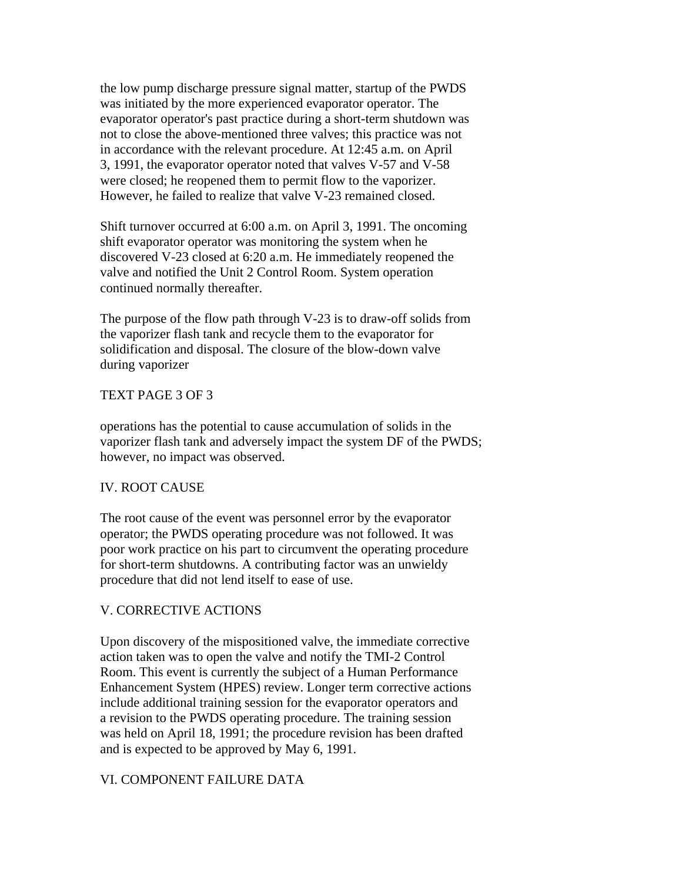the low pump discharge pressure signal matter, startup of the PWDS was initiated by the more experienced evaporator operator. The evaporator operator's past practice during a short-term shutdown was not to close the above-mentioned three valves; this practice was not in accordance with the relevant procedure. At 12:45 a.m. on April 3, 1991, the evaporator operator noted that valves V-57 and V-58 were closed; he reopened them to permit flow to the vaporizer. However, he failed to realize that valve V-23 remained closed.

Shift turnover occurred at 6:00 a.m. on April 3, 1991. The oncoming shift evaporator operator was monitoring the system when he discovered V-23 closed at 6:20 a.m. He immediately reopened the valve and notified the Unit 2 Control Room. System operation continued normally thereafter.

The purpose of the flow path through V-23 is to draw-off solids from the vaporizer flash tank and recycle them to the evaporator for solidification and disposal. The closure of the blow-down valve during vaporizer

#### TEXT PAGE 3 OF 3

operations has the potential to cause accumulation of solids in the vaporizer flash tank and adversely impact the system DF of the PWDS; however, no impact was observed.

# IV. ROOT CAUSE

The root cause of the event was personnel error by the evaporator operator; the PWDS operating procedure was not followed. It was poor work practice on his part to circumvent the operating procedure for short-term shutdowns. A contributing factor was an unwieldy procedure that did not lend itself to ease of use.

# V. CORRECTIVE ACTIONS

Upon discovery of the mispositioned valve, the immediate corrective action taken was to open the valve and notify the TMI-2 Control Room. This event is currently the subject of a Human Performance Enhancement System (HPES) review. Longer term corrective actions include additional training session for the evaporator operators and a revision to the PWDS operating procedure. The training session was held on April 18, 1991; the procedure revision has been drafted and is expected to be approved by May 6, 1991.

# VI. COMPONENT FAILURE DATA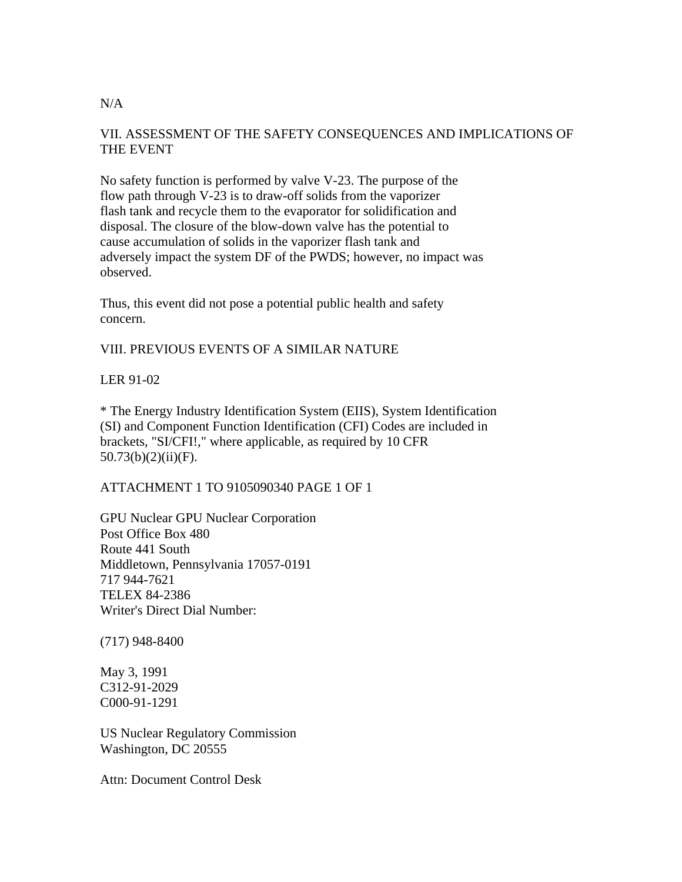# VII. ASSESSMENT OF THE SAFETY CONSEQUENCES AND IMPLICATIONS OF THE EVENT

No safety function is performed by valve V-23. The purpose of the flow path through V-23 is to draw-off solids from the vaporizer flash tank and recycle them to the evaporator for solidification and disposal. The closure of the blow-down valve has the potential to cause accumulation of solids in the vaporizer flash tank and adversely impact the system DF of the PWDS; however, no impact was observed.

Thus, this event did not pose a potential public health and safety concern.

# VIII. PREVIOUS EVENTS OF A SIMILAR NATURE

### LER 91-02

\* The Energy Industry Identification System (EIIS), System Identification (SI) and Component Function Identification (CFI) Codes are included in brackets, "SI/CFI!," where applicable, as required by 10 CFR  $50.73(b)(2)(ii)(F)$ .

# ATTACHMENT 1 TO 9105090340 PAGE 1 OF 1

GPU Nuclear GPU Nuclear Corporation Post Office Box 480 Route 441 South Middletown, Pennsylvania 17057-0191 717 944-7621 TELEX 84-2386 Writer's Direct Dial Number:

(717) 948-8400

May 3, 1991 C312-91-2029 C000-91-1291

US Nuclear Regulatory Commission Washington, DC 20555

Attn: Document Control Desk

#### $N/A$